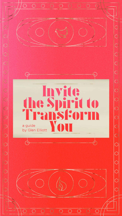

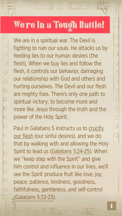

#### $\begin{array}{cc} \bullet & \bullet \end{array}$  $O$   $C$

## We're In a Tough Battle!

We are in a spiritual war. The Devil is fighting to ruin our souls. He attacks us by feeding lies to our human desires (the flesh). When we buy lies and follow the flesh, it controls our behavior, damaging our relationship with God and others and hurting ourselves. The Devil and our flesh are mighty foes. There's only one path to spiritual victory: to become more and more like Jesus through the truth and the power of the Holy Spirit. Paul in Galatians 5 instructs us to crucify our flesh (our sinful desires), and we do that by walking with and allowing the Holy Spirit to lead us [\(Galatians 5:24-25\)](https://www.biblegateway.com/passage/?search=gal+5%3A24-25&version=NIV). When we "keep step with the Spirit" and give him control and influence in our lives, we'll see the Spirit produce fruit like love, joy, peace, patience, kindness, goodness, faithfulness, gentleness, and self-control [\(Galatians 5:22-23\)](https://www.biblegateway.com/passage/?search=gal+5%3A22-23&version=NIV).

◯ Ć Ô O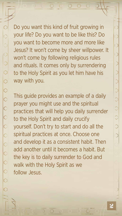

Do you want this kind of fruit growing in your life? Do you want to be like this? Do you want to become more and more like Jesus? It won't come by sheer willpower. It won't come by following religious rules and rituals. It comes only by surrendering to the Holy Spirit as you let him have his way with you.

This guide provides an example of a daily

prayer you might use and the spiritual practices that will help you daily surrender to the Holy Spirit and daily crucify yourself. Don't try to start and do all the spiritual practices at once. Choose one and develop it as a consistent habit. Then add another until it becomes a habit. But the key is to daily surrender to God and walk with the Holy Spirit as we follow Jesus.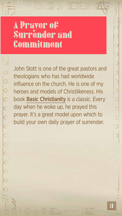

#### $O O$  $O$

### A Prayer of Surrender and Commitment

John Stott is one of the great pastors and theologians who has had worldwide influence on the church. He is one of my heroes and models of Christlikeness. His book [Basic Christianity](https://www.amazon.com/Basic-Christianity-Classics-John-Stott/dp/0830834133) is a classic. Every

day when he woke up, he prayed this prayer. It's a great model upon which to build your own daily prayer of surrender.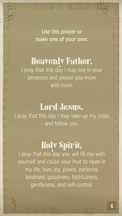

### Use this prayer or make one of your own:

Heavenly Father, I pray that this day I may live in your presence and please you more and more.

### Lord Jesus, I pray that this day I may take up my cross and follow you.

C<br>C<br>C

Holy Spirit, I pray that this day you will fill me with yourself and cause your fruit to ripen in my life: love, joy, peace, patience, kindness, goodness, faithfulness, gentleness, and self-control.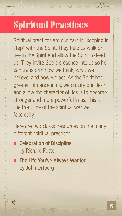

## Spiritual Practices

Spiritual practices are our part in "keeping in step" with the Spirit. They help us walk or live in the Spirit and allow the Spirit to lead us. They invite God's presence into us so he can transform how we think, what we believe, and how we act. As the Spirit has greater influence in us, we crucify our flesh and allow the character of Jesus to become stronger and more powerful in us. This is

 $\rightarrow$   $\circ$ 

Here are two classic resources on the many different spiritual practices:

the front line of the spiritual war we face daily.

- [Celebration of Discipline](https://www.amazon.com/Celebration-Discipline-Path-Spiritual-Growth/dp/1596444541) by Richard Foster
- **[The Life You've Always Wanted](https://www.amazon.com/Life-Youve-Always-Wanted-Disciplines/dp/1594150834)** by John Ortberg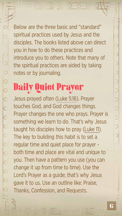### $\begin{array}{ccccccccc} \circ & \circ & \circ & \circ & \circ \end{array}$

 $\hat{\mathbb{C}}$ 

O



Below are the three basic and "standard" spiritual practices used by Jesus and the disciples. The books listed above can direct you in how to do these practices and introduce you to others. Note that many of the spiritual practices are aided by taking notes or by journaling.

### Daily Quiet Prayer Jesus prayed often [\(Luke 5:16\)](https://www.biblegateway.com/passage/?search=lk+5%3A16&version=NIV). Prayer

touches God, and God changes things. Prayer changes the one who prays. Prayer is something we learn to do. That's why Jesus taught his disciples how to pray [\(Luke 11\)](https://www.biblegateway.com/passage/?search=Luke%2011%3A1-13&version=NIV). The key to building this habit is to set a regular time and quiet place for prayer both time and place are vital and unique to you. Then have a pattern you use (you can change it up from time to time). Use the Lord's Prayer as a guide; that's why Jesus gave it to us. Use an outline like: Praise, Thanks, Confession, and Requests.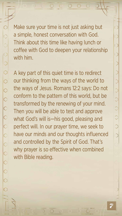

A key part of this quiet time is to redirect our thinking from the ways of the world to the ways of Jesus. Romans 12:2 says: Do not conform to the pattern of this world, but be transformed by the renewing of your mind. Then you will be able to test and approve what God's will is—his good, pleasing and perfect will. In our prayer time, we seek to have our minds and our thoughts influenced and controlled by the Spirit of God. That's why prayer is so effective when combined with Bible reading.

Make sure your time is not just asking but a simple, honest conversation with God. Think about this time like having lunch or coffee with God to deepen your relationship with him.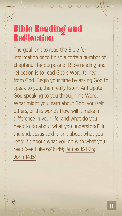

### Bible Reading and Reflection

The goal isn't to read the Bible for information or to finish a certain number of chapters. The purpose of Bible reading and reflection is to read God's Word to hear from God. Begin your time by asking God to speak to you, then really listen. Anticipate God speaking to you through his Word. What might you learn about God, yourself, others, or this world? How will it make a difference in your life, and what do you need to do about what you understood? In the end, Jesus said it isn't about what you read; it's about what you do with what you read (see [Luke 6:46-49](https://www.biblegateway.com/passage/?search=lk+6%3A46-49&version=NIV); [James 1:21-25;](https://www.biblegateway.com/passage/?search=James+1%3A21-25&version=NIV) [John 14:15\)](https://www.biblegateway.com/passage/?search=John+14%3A15&version=NIV)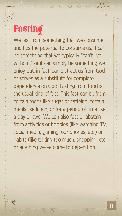

#### $\begin{array}{ccccccccc} \circ & \circ & \circ & \circ & \circ \end{array}$

# Fasting

We fast from something that we consume and has the potential to consume us. It can be something that we typically "can't live without," or it can simply be something we enjoy but, in fact, can distract us from God or serves as a substitute for complete dependence on God. Fasting from food is the usual kind of fast. This fast can be from certain foods like sugar or caffeine, certain meals like lunch, or for a period of time like a day or two. We can also fast or abstain from activities or hobbies (like watching TV, social media, gaming, our phones, etc.) or habits (like talking too much, shopping, etc., or anything we've come to depend on.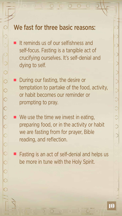### We fast for three basic reasons:



 It reminds us of our selfishness and self-focus. Fasting is a tangible act of crucifying ourselves. It's self-denial and dying to self.

We use the time we invest in eating, preparing food, or in the activity or habit we are fasting from for prayer, Bible reading, and reflection.

 During our fasting, the desire or temptation to partake of the food, activity, or habit becomes our reminder or

prompting to pray.

 Fasting is an act of self-denial and helps us be more in tune with the Holy Spirit.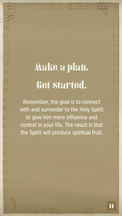

# Make a plan. Get started.

 $\langle \rangle$ 

Remember, the goal is to connect with and surrender to the Holy Spirit to give him more influence and control in your life. The result is that the Spirit will produce spiritual fruit.